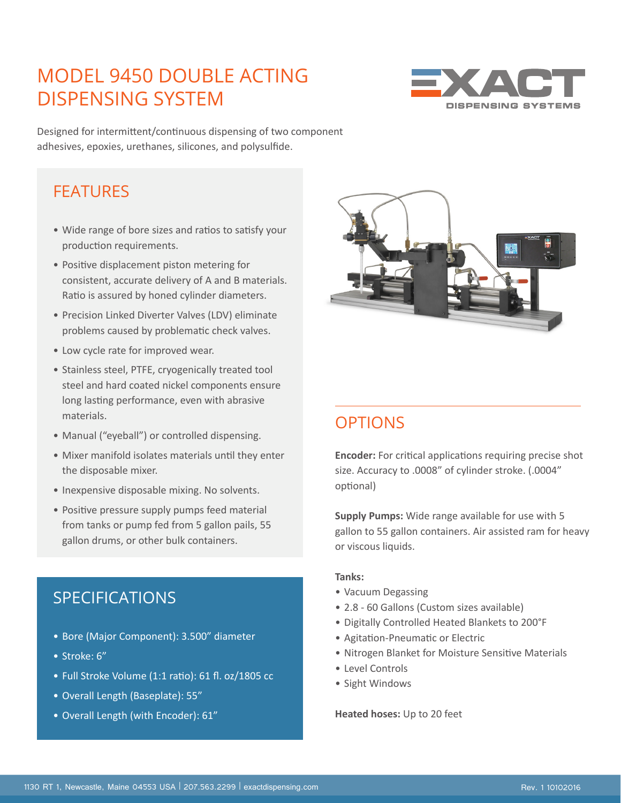## MODEL 9450 DOUBLE ACTING DISPENSING SYSTEM



Designed for intermittent/continuous dispensing of two component adhesives, epoxies, urethanes, silicones, and polysulfide.

### **FFATURES**

- Wide range of bore sizes and ratios to satisfy your production requirements.
- Positive displacement piston metering for consistent, accurate delivery of A and B materials. Ratio is assured by honed cylinder diameters.
- Precision Linked Diverter Valves (LDV) eliminate problems caused by problematic check valves.
- Low cycle rate for improved wear.
- Stainless steel, PTFE, cryogenically treated tool steel and hard coated nickel components ensure long lasting performance, even with abrasive materials.
- Manual ("eyeball") or controlled dispensing.
- Mixer manifold isolates materials until they enter the disposable mixer.
- Inexpensive disposable mixing. No solvents.
- Positive pressure supply pumps feed material from tanks or pump fed from 5 gallon pails, 55 gallon drums, or other bulk containers.

### SPECIFICATIONS

- Bore (Major Component): 3.500" diameter
- Stroke: 6"
- Full Stroke Volume (1:1 ratio): 61 fl. oz/1805 cc
- Overall Length (Baseplate): 55"
- Overall Length (with Encoder): 61"



## **OPTIONS**

**Encoder:** For critical applications requiring precise shot size. Accuracy to .0008" of cylinder stroke. (.0004" optional)

**Supply Pumps:** Wide range available for use with 5 gallon to 55 gallon containers. Air assisted ram for heavy or viscous liquids.

#### **Tanks:**

- Vacuum Degassing
- 2.8 60 Gallons (Custom sizes available)
- Digitally Controlled Heated Blankets to 200°F
- Agitation-Pneumatic or Electric
- Nitrogen Blanket for Moisture Sensitive Materials
- Level Controls
- Sight Windows

**Heated hoses:** Up to 20 feet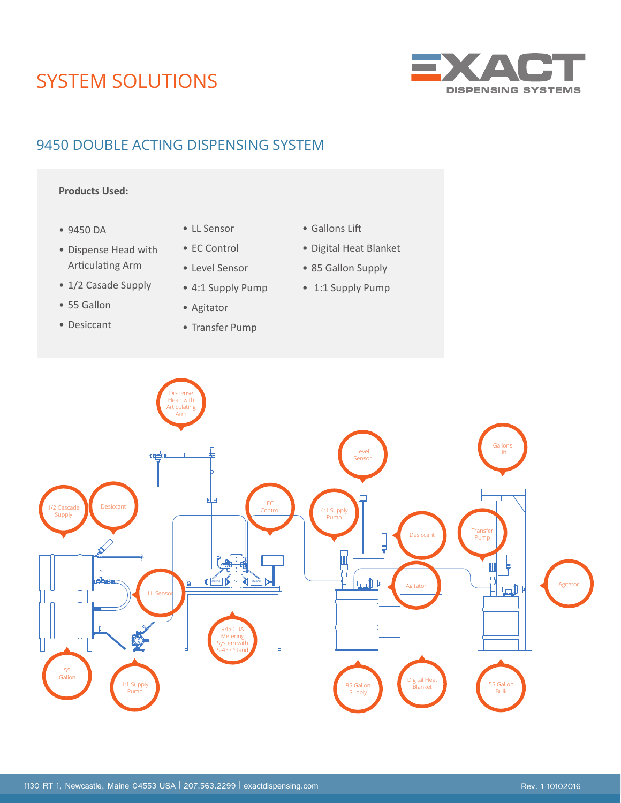# SYSTEM SOLUTIONS



### 9450 DOUBLE ACTING DISPENSING SYSTEM

#### **Products Used:**

- 9450 DA
- Dispense Head with Articulating Arm
- 1/2 Casade Supply
- 55 Gallon
- Desiccant
- LL Sensor
- EC Control
- Level Sensor
- 4:1 Supply Pump
- Agitator
- Transfer Pump
- Gallons Lift
- Digital Heat Blanket
- 85 Gallon Supply
- 1:1 Supply Pump



9450 Double Acting System